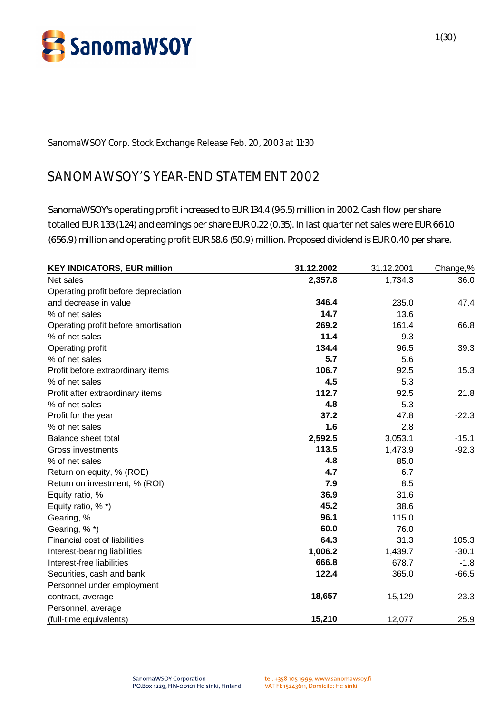

**SanomaWSOY Corp. Stock Exchange Release Feb. 20, 2003 at 11:30**

# **SANOMAWSOY'S YEAR-END STATEMENT 2002**

SanomaWSOY's operating profit increased to EUR 134.4 (96.5) million in 2002. Cash flow per share totalled EUR 1.33 (1.24) and earnings per share EUR 0.22 (0.35). In last quarter net sales were EUR 661.0 (656.9) million and operating profit EUR 58.6 (50.9) million. Proposed dividend is EUR 0.40 per share.

| <b>KEY INDICATORS, EUR million</b>   | 31.12.2002 | 31.12.2001 | Change,% |
|--------------------------------------|------------|------------|----------|
| Net sales                            | 2,357.8    | 1,734.3    | 36.0     |
| Operating profit before depreciation |            |            |          |
| and decrease in value                | 346.4      | 235.0      | 47.4     |
| % of net sales                       | 14.7       | 13.6       |          |
| Operating profit before amortisation | 269.2      | 161.4      | 66.8     |
| % of net sales                       | 11.4       | 9.3        |          |
| Operating profit                     | 134.4      | 96.5       | 39.3     |
| % of net sales                       | 5.7        | 5.6        |          |
| Profit before extraordinary items    | 106.7      | 92.5       | 15.3     |
| % of net sales                       | 4.5        | 5.3        |          |
| Profit after extraordinary items     | 112.7      | 92.5       | 21.8     |
| % of net sales                       | 4.8        | 5.3        |          |
| Profit for the year                  | 37.2       | 47.8       | $-22.3$  |
| % of net sales                       | 1.6        | 2.8        |          |
| <b>Balance sheet total</b>           | 2,592.5    | 3,053.1    | $-15.1$  |
| Gross investments                    | 113.5      | 1,473.9    | $-92.3$  |
| % of net sales                       | 4.8        | 85.0       |          |
| Return on equity, % (ROE)            | 4.7        | 6.7        |          |
| Return on investment, % (ROI)        | 7.9        | 8.5        |          |
| Equity ratio, %                      | 36.9       | 31.6       |          |
| Equity ratio, % *)                   | 45.2       | 38.6       |          |
| Gearing, %                           | 96.1       | 115.0      |          |
| Gearing, %*)                         | 60.0       | 76.0       |          |
| Financial cost of liabilities        | 64.3       | 31.3       | 105.3    |
| Interest-bearing liabilities         | 1,006.2    | 1,439.7    | $-30.1$  |
| Interest-free liabilities            | 666.8      | 678.7      | $-1.8$   |
| Securities, cash and bank            | 122.4      | 365.0      | $-66.5$  |
| Personnel under employment           |            |            |          |
| contract, average                    | 18,657     | 15,129     | 23.3     |
| Personnel, average                   |            |            |          |
| (full-time equivalents)              | 15,210     | 12,077     | 25.9     |

 $\mathbf{1}$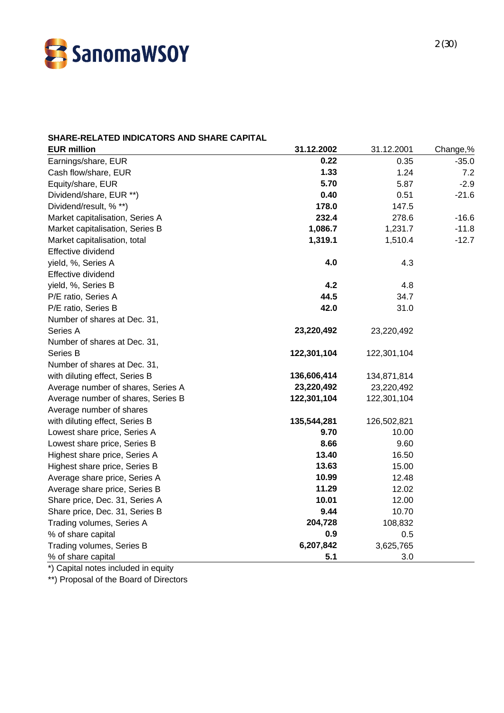

### **SHARE-RELATED INDICATORS AND SHARE CAPITAL**

| <b>EUR million</b>                 | 31.12.2002  | 31.12.2001  | Change,% |
|------------------------------------|-------------|-------------|----------|
| Earnings/share, EUR                | 0.22        | 0.35        | $-35.0$  |
| Cash flow/share, EUR               | 1.33        | 1.24        | 7.2      |
| Equity/share, EUR                  | 5.70        | 5.87        | $-2.9$   |
| Dividend/share, EUR **)            | 0.40        | 0.51        | $-21.6$  |
| Dividend/result, % **)             | 178.0       | 147.5       |          |
| Market capitalisation, Series A    | 232.4       | 278.6       | $-16.6$  |
| Market capitalisation, Series B    | 1,086.7     | 1,231.7     | $-11.8$  |
| Market capitalisation, total       | 1,319.1     | 1,510.4     | $-12.7$  |
| Effective dividend                 |             |             |          |
| yield, %, Series A                 | 4.0         | 4.3         |          |
| Effective dividend                 |             |             |          |
| yield, %, Series B                 | 4.2         | 4.8         |          |
| P/E ratio, Series A                | 44.5        | 34.7        |          |
| P/E ratio, Series B                | 42.0        | 31.0        |          |
| Number of shares at Dec. 31,       |             |             |          |
| Series A                           | 23,220,492  | 23,220,492  |          |
| Number of shares at Dec. 31,       |             |             |          |
| Series B                           | 122,301,104 | 122,301,104 |          |
| Number of shares at Dec. 31,       |             |             |          |
| with diluting effect, Series B     | 136,606,414 | 134,871,814 |          |
| Average number of shares, Series A | 23,220,492  | 23,220,492  |          |
| Average number of shares, Series B | 122,301,104 | 122,301,104 |          |
| Average number of shares           |             |             |          |
| with diluting effect, Series B     | 135,544,281 | 126,502,821 |          |
| Lowest share price, Series A       | 9.70        | 10.00       |          |
| Lowest share price, Series B       | 8.66        | 9.60        |          |
| Highest share price, Series A      | 13.40       | 16.50       |          |
| Highest share price, Series B      | 13.63       | 15.00       |          |
| Average share price, Series A      | 10.99       | 12.48       |          |
| Average share price, Series B      | 11.29       | 12.02       |          |
| Share price, Dec. 31, Series A     | 10.01       | 12.00       |          |
| Share price, Dec. 31, Series B     | 9.44        | 10.70       |          |
| Trading volumes, Series A          | 204,728     | 108,832     |          |
| % of share capital                 | 0.9         | 0.5         |          |
| Trading volumes, Series B          | 6,207,842   | 3,625,765   |          |
| % of share capital                 | 5.1         | 3.0         |          |

\*) Capital notes included in equity

\*\*) Proposal of the Board of Directors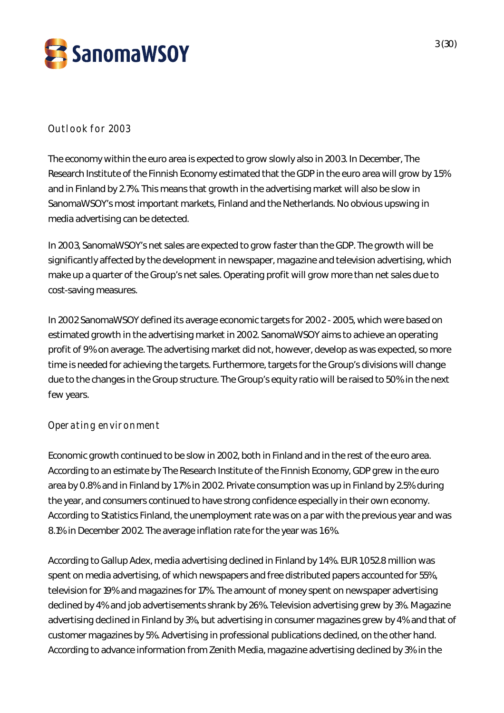

### **Outlook for 2003**

The economy within the euro area is expected to grow slowly also in 2003. In December, The Research Institute of the Finnish Economy estimated that the GDP in the euro area will grow by 1.5% and in Finland by 2.7%. This means that growth in the advertising market will also be slow in SanomaWSOY's most important markets, Finland and the Netherlands. No obvious upswing in media advertising can be detected.

In 2003, SanomaWSOY's net sales are expected to grow faster than the GDP. The growth will be significantly affected by the development in newspaper, magazine and television advertising, which make up a quarter of the Group's net sales. Operating profit will grow more than net sales due to cost-saving measures.

In 2002 SanomaWSOY defined its average economic targets for 2002 - 2005, which were based on estimated growth in the advertising market in 2002. SanomaWSOY aims to achieve an operating profit of 9% on average. The advertising market did not, however, develop as was expected, so more time is needed for achieving the targets. Furthermore, targets for the Group's divisions will change due to the changes in the Group structure. The Group's equity ratio will be raised to 50% in the next few years.

### **Operating environment**

Economic growth continued to be slow in 2002, both in Finland and in the rest of the euro area. According to an estimate by The Research Institute of the Finnish Economy, GDP grew in the euro area by 0.8% and in Finland by 1.7% in 2002. Private consumption was up in Finland by 2.5% during the year, and consumers continued to have strong confidence especially in their own economy. According to Statistics Finland, the unemployment rate was on a par with the previous year and was 8.1% in December 2002. The average inflation rate for the year was 1.6%.

According to Gallup Adex, media advertising declined in Finland by 1.4%. EUR 1,052.8 million was spent on media advertising, of which newspapers and free distributed papers accounted for 55%, television for 19% and magazines for 17%. The amount of money spent on newspaper advertising declined by 4% and job advertisements shrank by 26%. Television advertising grew by 3%. Magazine advertising declined in Finland by 3%, but advertising in consumer magazines grew by 4% and that of customer magazines by 5%. Advertising in professional publications declined, on the other hand. According to advance information from Zenith Media, magazine advertising declined by 3% in the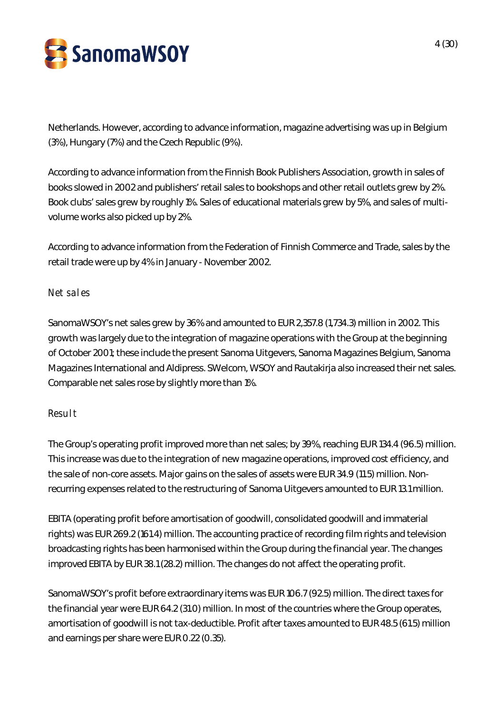

Netherlands. However, according to advance information, magazine advertising was up in Belgium (3%), Hungary (7%) and the Czech Republic (9%).

According to advance information from the Finnish Book Publishers Association, growth in sales of books slowed in 2002 and publishers' retail sales to bookshops and other retail outlets grew by 2%. Book clubs' sales grew by roughly 1%. Sales of educational materials grew by 5%, and sales of multivolume works also picked up by 2%.

According to advance information from the Federation of Finnish Commerce and Trade, sales by the retail trade were up by 4% in January - November 2002.

### **Net sales**

SanomaWSOY's net sales grew by 36% and amounted to EUR 2,357.8 (1,734.3) million in 2002. This growth was largely due to the integration of magazine operations with the Group at the beginning of October 2001; these include the present Sanoma Uitgevers, Sanoma Magazines Belgium, Sanoma Magazines International and Aldipress. SWelcom, WSOY and Rautakirja also increased their net sales. Comparable net sales rose by slightly more than 1%.

### **Result**

The Group's operating profit improved more than net sales; by 39%, reaching EUR 134.4 (96.5) million. This increase was due to the integration of new magazine operations, improved cost efficiency, and the sale of non-core assets. Major gains on the sales of assets were EUR 34.9 (11.5) million. Nonrecurring expenses related to the restructuring of Sanoma Uitgevers amounted to EUR 13.1 million.

EBITA (operating profit before amortisation of goodwill, consolidated goodwill and immaterial rights) was EUR 269.2 (161.4) million. The accounting practice of recording film rights and television broadcasting rights has been harmonised within the Group during the financial year. The changes improved EBITA by EUR 38.1 (28.2) million. The changes do not affect the operating profit.

SanomaWSOY's profit before extraordinary items was EUR 106.7 (92.5) million. The direct taxes for the financial year were EUR 64.2 (31.0) million. In most of the countries where the Group operates, amortisation of goodwill is not tax-deductible. Profit after taxes amounted to EUR 48.5 (61.5) million and earnings per share were EUR 0.22 (0.35).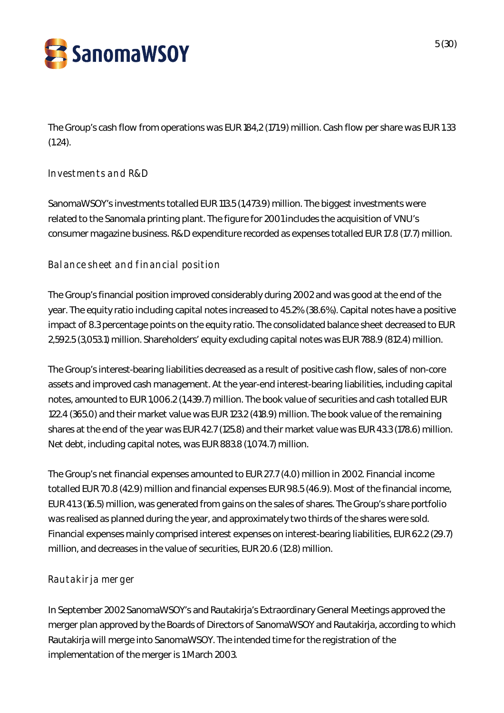

The Group's cash flow from operations was EUR 184,2 (171.9) million. Cash flow per share was EUR 1.33 (1.24).

### **Investments and R&D**

SanomaWSOY's investments totalled EUR 113.5 (1,473.9) million. The biggest investments were related to the Sanomala printing plant. The figure for 2001 includes the acquisition of VNU's consumer magazine business. R&D expenditure recorded as expenses totalled EUR 17.8 (17.7) million.

### **Balance sheet and financial position**

The Group's financial position improved considerably during 2002 and was good at the end of the year. The equity ratio including capital notes increased to 45.2% (38.6%). Capital notes have a positive impact of 8.3 percentage points on the equity ratio. The consolidated balance sheet decreased to EUR 2,592.5 (3,053.1) million. Shareholders' equity excluding capital notes was EUR 788.9 (812.4) million.

The Group's interest-bearing liabilities decreased as a result of positive cash flow, sales of non-core assets and improved cash management. At the year-end interest-bearing liabilities, including capital notes, amounted to EUR 1,006.2 (1,439.7) million. The book value of securities and cash totalled EUR 122.4 (365.0) and their market value was EUR 123.2 (418.9) million. The book value of the remaining shares at the end of the year was EUR 42.7 (125.8) and their market value was EUR 43.3 (178.6) million. Net debt, including capital notes, was EUR 883.8 (1,074.7) million.

The Group's net financial expenses amounted to EUR 27.7 (4.0) million in 2002. Financial income totalled EUR 70.8 (42.9) million and financial expenses EUR 98.5 (46.9). Most of the financial income, EUR 41.3 (16.5) million, was generated from gains on the sales of shares. The Group's share portfolio was realised as planned during the year, and approximately two thirds of the shares were sold. Financial expenses mainly comprised interest expenses on interest-bearing liabilities, EUR 62.2 (29.7) million, and decreases in the value of securities, EUR 20.6 (12.8) million.

### **Rautakirja merger**

In September 2002 SanomaWSOY's and Rautakirja's Extraordinary General Meetings approved the merger plan approved by the Boards of Directors of SanomaWSOY and Rautakirja, according to which Rautakirja will merge into SanomaWSOY. The intended time for the registration of the implementation of the merger is 1 March 2003.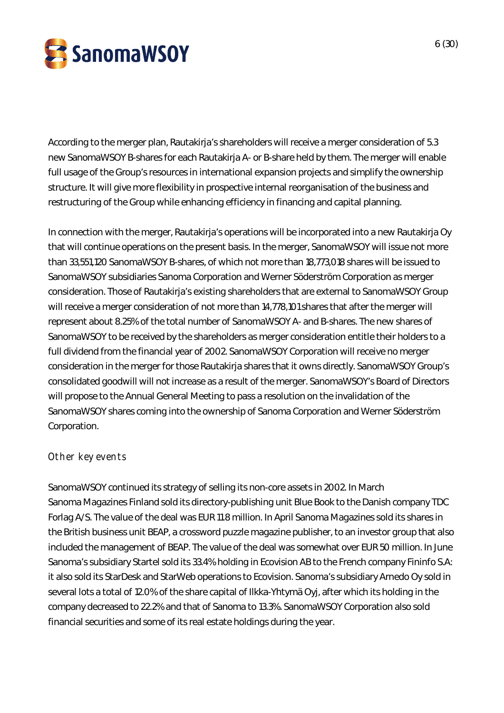

According to the merger plan, Rautakirja's shareholders will receive a merger consideration of 5.3 new SanomaWSOY B-shares for each Rautakirja A- or B-share held by them. The merger will enable full usage of the Group's resources in international expansion projects and simplify the ownership structure. It will give more flexibility in prospective internal reorganisation of the business and restructuring of the Group while enhancing efficiency in financing and capital planning.

In connection with the merger, Rautakirja's operations will be incorporated into a new Rautakirja Oy that will continue operations on the present basis. In the merger, SanomaWSOY will issue not more than 33,551,120 SanomaWSOY B-shares, of which not more than 18,773,018 shares will be issued to SanomaWSOY subsidiaries Sanoma Corporation and Werner Söderström Corporation as merger consideration. Those of Rautakirja's existing shareholders that are external to SanomaWSOY Group will receive a merger consideration of not more than 14,778,101 shares that after the merger will represent about 8.25% of the total number of SanomaWSOY A- and B-shares. The new shares of SanomaWSOY to be received by the shareholders as merger consideration entitle their holders to a full dividend from the financial year of 2002. SanomaWSOY Corporation will receive no merger consideration in the merger for those Rautakirja shares that it owns directly. SanomaWSOY Group's consolidated goodwill will not increase as a result of the merger. SanomaWSOY's Board of Directors will propose to the Annual General Meeting to pass a resolution on the invalidation of the SanomaWSOY shares coming into the ownership of Sanoma Corporation and Werner Söderström Corporation.

### **Other key events**

SanomaWSOY continued its strategy of selling its non-core assets in 2002. In March Sanoma Magazines Finland sold its directory-publishing unit Blue Book to the Danish company TDC Forlag A/S. The value of the deal was EUR 11.8 million. In April Sanoma Magazines sold its shares in the British business unit BEAP, a crossword puzzle magazine publisher, to an investor group that also included the management of BEAP. The value of the deal was somewhat over EUR 50 million. In June Sanoma's subsidiary Startel sold its 33.4% holding in Ecovision AB to the French company Fininfo S.A: it also sold its StarDesk and StarWeb operations to Ecovision. Sanoma's subsidiary Arnedo Oy sold in several lots a total of 12.0% of the share capital of Ilkka-Yhtymä Oyj, after which its holding in the company decreased to 22.2% and that of Sanoma to 13.3%. SanomaWSOY Corporation also sold financial securities and some of its real estate holdings during the year.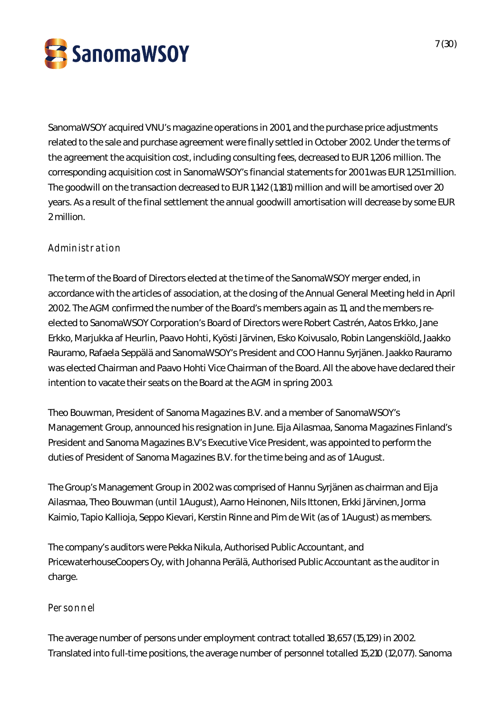

SanomaWSOY acquired VNU's magazine operations in 2001, and the purchase price adjustments related to the sale and purchase agreement were finally settled in October 2002. Under the terms of the agreement the acquisition cost, including consulting fees, decreased to EUR 1,206 million. The corresponding acquisition cost in SanomaWSOY's financial statements for 2001 was EUR 1,251 million. The goodwill on the transaction decreased to EUR 1,142 (1,181) million and will be amortised over 20 years. As a result of the final settlement the annual goodwill amortisation will decrease by some EUR 2 million.

## **Administration**

The term of the Board of Directors elected at the time of the SanomaWSOY merger ended, in accordance with the articles of association, at the closing of the Annual General Meeting held in April 2002. The AGM confirmed the number of the Board's members again as 11, and the members reelected to SanomaWSOY Corporation's Board of Directors were Robert Castrén, Aatos Erkko, Jane Erkko, Marjukka af Heurlin, Paavo Hohti, Kyösti Järvinen, Esko Koivusalo, Robin Langenskiöld, Jaakko Rauramo, Rafaela Seppälä and SanomaWSOY's President and COO Hannu Syrjänen. Jaakko Rauramo was elected Chairman and Paavo Hohti Vice Chairman of the Board. All the above have declared their intention to vacate their seats on the Board at the AGM in spring 2003.

Theo Bouwman, President of Sanoma Magazines B.V. and a member of SanomaWSOY's Management Group, announced his resignation in June. Eija Ailasmaa, Sanoma Magazines Finland's President and Sanoma Magazines B.V's Executive Vice President, was appointed to perform the duties of President of Sanoma Magazines B.V. for the time being and as of 1 August.

The Group's Management Group in 2002 was comprised of Hannu Syrjänen as chairman and Eija Ailasmaa, Theo Bouwman (until 1 August), Aarno Heinonen, Nils Ittonen, Erkki Järvinen, Jorma Kaimio, Tapio Kallioja, Seppo Kievari, Kerstin Rinne and Pim de Wit (as of 1 August) as members.

The company's auditors were Pekka Nikula, Authorised Public Accountant, and PricewaterhouseCoopers Oy, with Johanna Perälä, Authorised Public Accountant as the auditor in charge.

### **Personnel**

The average number of persons under employment contract totalled 18,657 (15,129) in 2002. Translated into full-time positions, the average number of personnel totalled 15,210 (12,077). Sanoma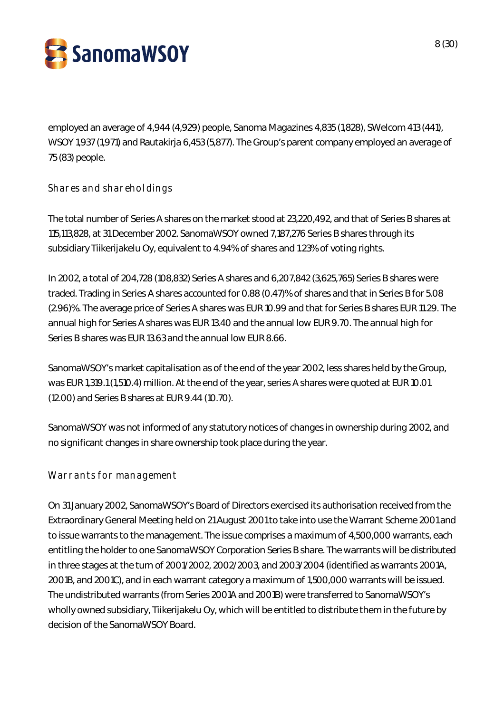

employed an average of 4,944 (4,929) people, Sanoma Magazines 4,835 (1,828), SWelcom 413 (441), WSOY 1,937 (1,971) and Rautakirja 6,453 (5,877). The Group's parent company employed an average of 75 (83) people.

## **Shares and shareholdings**

The total number of Series A shares on the market stood at 23,220,492, and that of Series B shares at 115,113,828, at 31 December 2002. SanomaWSOY owned 7,187,276 Series B shares through its subsidiary Tiikerijakelu Oy, equivalent to 4.94% of shares and 1.23% of voting rights.

In 2002, a total of 204,728 (108,832) Series A shares and 6,207,842 (3,625,765) Series B shares were traded. Trading in Series A shares accounted for 0.88 (0.47)% of shares and that in Series B for 5.08 (2.96)%. The average price of Series A shares was EUR 10.99 and that for Series B shares EUR 11.29. The annual high for Series A shares was EUR 13.40 and the annual low EUR 9.70. The annual high for Series B shares was EUR 13.63 and the annual low EUR 8.66.

SanomaWSOY's market capitalisation as of the end of the year 2002, less shares held by the Group, was EUR 1,319.1 (1,510.4) million. At the end of the year, series A shares were quoted at EUR 10.01 (12.00) and Series B shares at EUR 9.44 (10.70).

SanomaWSOY was not informed of any statutory notices of changes in ownership during 2002, and no significant changes in share ownership took place during the year.

### **Warrants for management**

On 31 January 2002, SanomaWSOY's Board of Directors exercised its authorisation received from the Extraordinary General Meeting held on 21 August 2001 to take into use the Warrant Scheme 2001 and to issue warrants to the management. The issue comprises a maximum of 4,500,000 warrants, each entitling the holder to one SanomaWSOY Corporation Series B share. The warrants will be distributed in three stages at the turn of 2001/2002, 2002/2003, and 2003/2004 (identified as warrants 2001A, 2001B, and 2001C), and in each warrant category a maximum of 1,500,000 warrants will be issued. The undistributed warrants (from Series 2001A and 2001B) were transferred to SanomaWSOY's wholly owned subsidiary, Tiikerijakelu Oy, which will be entitled to distribute them in the future by decision of the SanomaWSOY Board.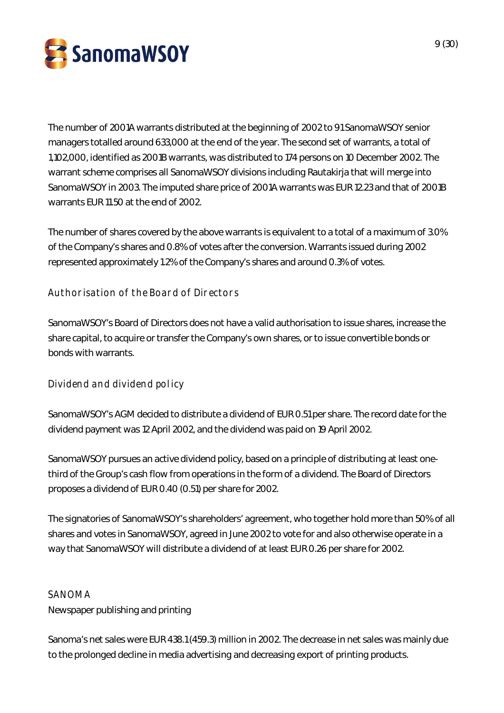

The number of 2001A warrants distributed at the beginning of 2002 to 91 SanomaWSOY senior managers totalled around 633,000 at the end of the year. The second set of warrants, a total of 1,102,000, identified as 2001B warrants, was distributed to 174 persons on 10 December 2002. The warrant scheme comprises all SanomaWSOY divisions including Rautakirja that will merge into SanomaWSOY in 2003. The imputed share price of 2001A warrants was EUR 12.23 and that of 2001B warrants EUR 11.50 at the end of 2002.

The number of shares covered by the above warrants is equivalent to a total of a maximum of 3.0% of the Company's shares and 0.8% of votes after the conversion. Warrants issued during 2002 represented approximately 1.2% of the Company's shares and around 0.3% of votes.

### **Authorisation of the Board of Directors**

SanomaWSOY's Board of Directors does not have a valid authorisation to issue shares, increase the share capital, to acquire or transfer the Company's own shares, or to issue convertible bonds or bonds with warrants.

**Dividend and dividend policy**

SanomaWSOY's AGM decided to distribute a dividend of EUR 0.51 per share. The record date for the dividend payment was 12 April 2002, and the dividend was paid on 19 April 2002.

SanomaWSOY pursues an active dividend policy, based on a principle of distributing at least onethird of the Group's cash flow from operations in the form of a dividend. The Board of Directors proposes a dividend of EUR 0.40 (0.51) per share for 2002.

The signatories of SanomaWSOY's shareholders' agreement, who together hold more than 50% of all shares and votes in SanomaWSOY, agreed in June 2002 to vote for and also otherwise operate in a way that SanomaWSOY will distribute a dividend of at least EUR 0.26 per share for 2002.

### SANOMA

Newspaper publishing and printing

Sanoma's net sales were EUR 438.1 (459.3) million in 2002. The decrease in net sales was mainly due to the prolonged decline in media advertising and decreasing export of printing products.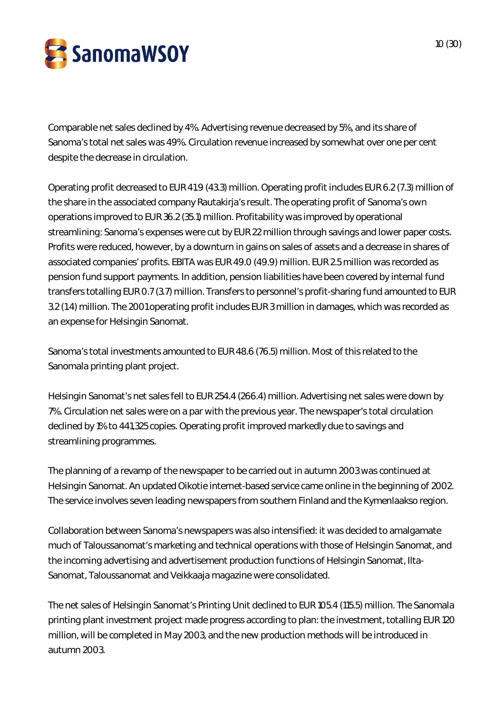

Comparable net sales declined by 4%. Advertising revenue decreased by 5%, and its share of Sanoma's total net sales was 49%. Circulation revenue increased by somewhat over one per cent despite the decrease in circulation.

Operating profit decreased to EUR 41.9 (43.3) million. Operating profit includes EUR 6.2 (7.3) million of the share in the associated company Rautakirja's result. The operating profit of Sanoma's own operations improved to EUR 36.2 (35.1) million. Profitability was improved by operational streamlining: Sanoma's expenses were cut by EUR 22 million through savings and lower paper costs. Profits were reduced, however, by a downturn in gains on sales of assets and a decrease in shares of associated companies' profits. EBITA was EUR 49.0 (49.9) million. EUR 2.5 million was recorded as pension fund support payments. In addition, pension liabilities have been covered by internal fund transfers totalling EUR 0.7 (3.7) million. Transfers to personnel's profit-sharing fund amounted to EUR 3.2 (1.4) million. The 2001 operating profit includes EUR 3 million in damages, which was recorded as an expense for Helsingin Sanomat.

Sanoma's total investments amounted to EUR 48.6 (76.5) million. Most of this related to the Sanomala printing plant project.

Helsingin Sanomat's net sales fell to EUR 254.4 (266.4) million. Advertising net sales were down by 7%. Circulation net sales were on a par with the previous year. The newspaper's total circulation declined by 1% to 441,325 copies. Operating profit improved markedly due to savings and streamlining programmes.

The planning of a revamp of the newspaper to be carried out in autumn 2003 was continued at Helsingin Sanomat. An updated Oikotie internet-based service came online in the beginning of 2002. The service involves seven leading newspapers from southern Finland and the Kymenlaakso region.

Collaboration between Sanoma's newspapers was also intensified: it was decided to amalgamate much of Taloussanomat's marketing and technical operations with those of Helsingin Sanomat, and the incoming advertising and advertisement production functions of Helsingin Sanomat, Ilta-Sanomat, Taloussanomat and Veikkaaja magazine were consolidated.

The net sales of Helsingin Sanomat's Printing Unit declined to EUR 105.4 (115.5) million. The Sanomala printing plant investment project made progress according to plan: the investment, totalling EUR 120 million, will be completed in May 2003, and the new production methods will be introduced in autumn 2003.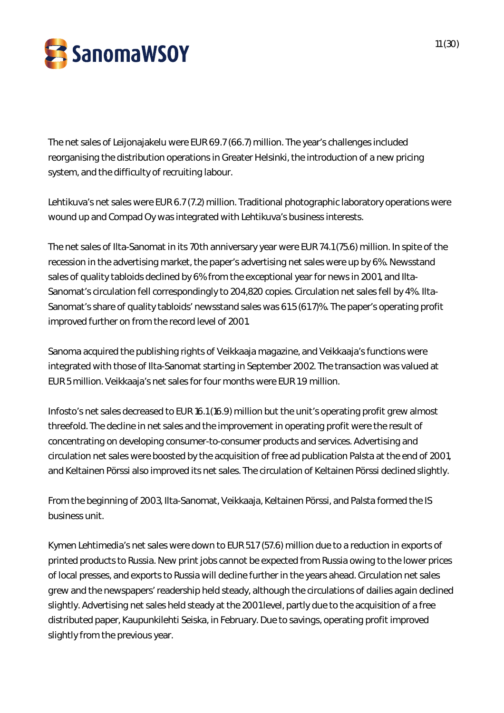

The net sales of Leijonajakelu were EUR 69.7 (66.7) million. The year's challenges included reorganising the distribution operations in Greater Helsinki, the introduction of a new pricing system, and the difficulty of recruiting labour.

Lehtikuva's net sales were EUR 6.7 (7.2) million. Traditional photographic laboratory operations were wound up and Compad Oy was integrated with Lehtikuva's business interests.

The net sales of Ilta-Sanomat in its 70th anniversary year were EUR 74.1 (75.6) million. In spite of the recession in the advertising market, the paper's advertising net sales were up by 6%. Newsstand sales of quality tabloids declined by 6% from the exceptional year for news in 2001, and Ilta-Sanomat's circulation fell correspondingly to 204,820 copies. Circulation net sales fell by 4%. Ilta-Sanomat's share of quality tabloids' newsstand sales was 61.5 (61.7)%. The paper's operating profit improved further on from the record level of 2001.

Sanoma acquired the publishing rights of Veikkaaja magazine, and Veikkaaja's functions were integrated with those of Ilta-Sanomat starting in September 2002. The transaction was valued at EUR 5 million. Veikkaaja's net sales for four months were EUR 1.9 million.

Infosto's net sales decreased to EUR 16.1 (16.9) million but the unit's operating profit grew almost threefold. The decline in net sales and the improvement in operating profit were the result of concentrating on developing consumer-to-consumer products and services. Advertising and circulation net sales were boosted by the acquisition of free ad publication Palsta at the end of 2001, and Keltainen Pörssi also improved its net sales. The circulation of Keltainen Pörssi declined slightly.

From the beginning of 2003, Ilta-Sanomat, Veikkaaja, Keltainen Pörssi, and Palsta formed the IS business unit.

Kymen Lehtimedia's net sales were down to EUR 51.7 (57.6) million due to a reduction in exports of printed products to Russia. New print jobs cannot be expected from Russia owing to the lower prices of local presses, and exports to Russia will decline further in the years ahead. Circulation net sales grew and the newspapers' readership held steady, although the circulations of dailies again declined slightly. Advertising net sales held steady at the 2001 level, partly due to the acquisition of a free distributed paper, Kaupunkilehti Seiska, in February. Due to savings, operating profit improved slightly from the previous year.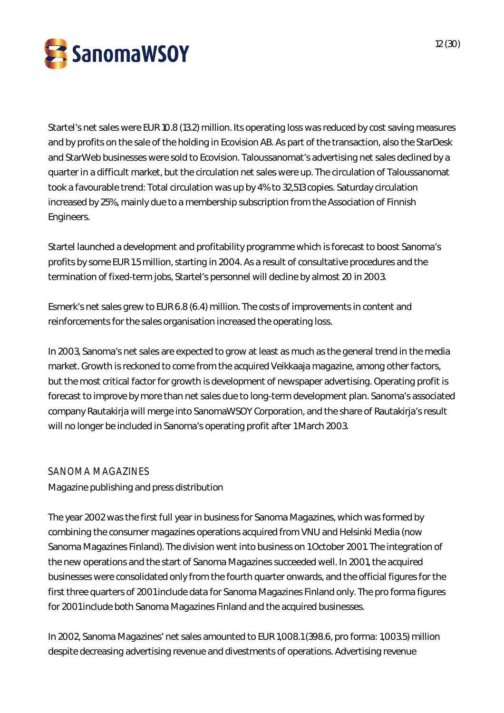

Startel's net sales were EUR 10.8 (13.2) million. Its operating loss was reduced by cost saving measures and by profits on the sale of the holding in Ecovision AB. As part of the transaction, also the StarDesk and StarWeb businesses were sold to Ecovision. Taloussanomat's advertising net sales declined by a quarter in a difficult market, but the circulation net sales were up. The circulation of Taloussanomat took a favourable trend: Total circulation was up by 4% to 32,513 copies. Saturday circulation increased by 25%, mainly due to a membership subscription from the Association of Finnish Engineers.

Startel launched a development and profitability programme which is forecast to boost Sanoma's profits by some EUR 1.5 million, starting in 2004. As a result of consultative procedures and the termination of fixed-term jobs, Startel's personnel will decline by almost 20 in 2003.

Esmerk's net sales grew to EUR 6.8 (6.4) million. The costs of improvements in content and reinforcements for the sales organisation increased the operating loss.

In 2003, Sanoma's net sales are expected to grow at least as much as the general trend in the media market. Growth is reckoned to come from the acquired Veikkaaja magazine, among other factors, but the most critical factor for growth is development of newspaper advertising. Operating profit is forecast to improve by more than net sales due to long-term development plan. Sanoma's associated company Rautakirja will merge into SanomaWSOY Corporation, and the share of Rautakirja's result will no longer be included in Sanoma's operating profit after 1 March 2003.

### SANOMA MAGAZINES

Magazine publishing and press distribution

The year 2002 was the first full year in business for Sanoma Magazines, which was formed by combining the consumer magazines operations acquired from VNU and Helsinki Media (now Sanoma Magazines Finland). The division went into business on 1 October 2001. The integration of the new operations and the start of Sanoma Magazines succeeded well. In 2001, the acquired businesses were consolidated only from the fourth quarter onwards, and the official figures for the first three quarters of 2001 include data for Sanoma Magazines Finland only. The pro forma figures for 2001 include both Sanoma Magazines Finland and the acquired businesses.

In 2002, Sanoma Magazines' net sales amounted to EUR 1,008.1 (398.6, pro forma: 1,003.5) million despite decreasing advertising revenue and divestments of operations. Advertising revenue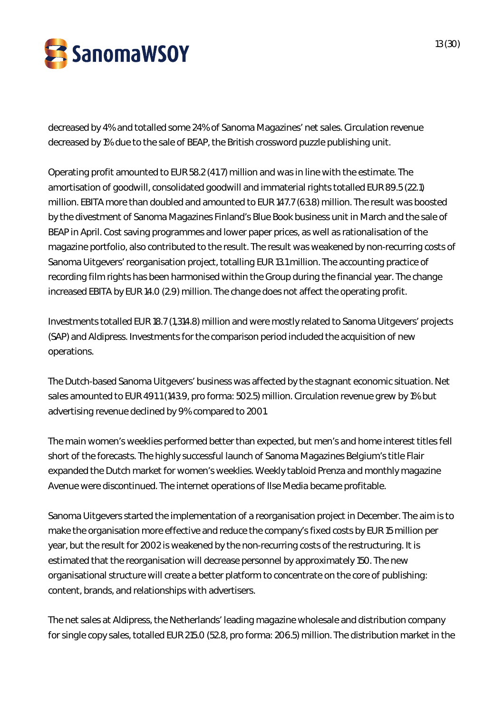

decreased by 4% and totalled some 24% of Sanoma Magazines' net sales. Circulation revenue decreased by 1% due to the sale of BEAP, the British crossword puzzle publishing unit.

Operating profit amounted to EUR 58.2 (41.7) million and was in line with the estimate. The amortisation of goodwill, consolidated goodwill and immaterial rights totalled EUR 89.5 (22.1) million. EBITA more than doubled and amounted to EUR 147.7 (63.8) million. The result was boosted by the divestment of Sanoma Magazines Finland's Blue Book business unit in March and the sale of BEAP in April. Cost saving programmes and lower paper prices, as well as rationalisation of the magazine portfolio, also contributed to the result. The result was weakened by non-recurring costs of Sanoma Uitgevers' reorganisation project, totalling EUR 13.1 million. The accounting practice of recording film rights has been harmonised within the Group during the financial year. The change increased EBITA by EUR 14.0 (2.9) million. The change does not affect the operating profit.

Investments totalled EUR 18.7 (1,314.8) million and were mostly related to Sanoma Uitgevers' projects (SAP) and Aldipress. Investments for the comparison period included the acquisition of new operations.

The Dutch-based Sanoma Uitgevers' business was affected by the stagnant economic situation. Net sales amounted to EUR 491.1 (143.9, pro forma: 502.5) million. Circulation revenue grew by 1% but advertising revenue declined by 9% compared to 2001.

The main women's weeklies performed better than expected, but men's and home interest titles fell short of the forecasts. The highly successful launch of Sanoma Magazines Belgium's title Flair expanded the Dutch market for women's weeklies. Weekly tabloid Prenza and monthly magazine Avenue were discontinued. The internet operations of Ilse Media became profitable.

Sanoma Uitgevers started the implementation of a reorganisation project in December. The aim is to make the organisation more effective and reduce the company's fixed costs by EUR 15 million per year, but the result for 2002 is weakened by the non-recurring costs of the restructuring. It is estimated that the reorganisation will decrease personnel by approximately 150. The new organisational structure will create a better platform to concentrate on the core of publishing: content, brands, and relationships with advertisers.

The net sales at Aldipress, the Netherlands' leading magazine wholesale and distribution company for single copy sales, totalled EUR 215.0 (52.8, pro forma: 206.5) million. The distribution market in the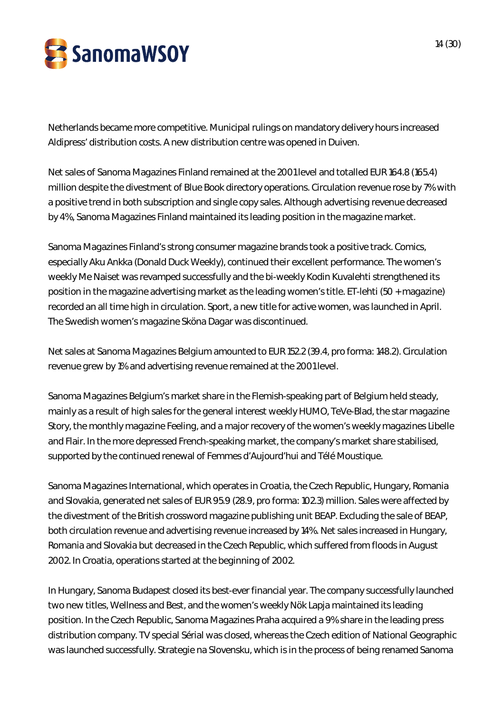

Netherlands became more competitive. Municipal rulings on mandatory delivery hours increased Aldipress' distribution costs. A new distribution centre was opened in Duiven.

Net sales of Sanoma Magazines Finland remained at the 2001 level and totalled EUR 164.8 (165.4) million despite the divestment of Blue Book directory operations. Circulation revenue rose by 7% with a positive trend in both subscription and single copy sales. Although advertising revenue decreased by 4%, Sanoma Magazines Finland maintained its leading position in the magazine market.

Sanoma Magazines Finland's strong consumer magazine brands took a positive track. Comics, especially Aku Ankka (Donald Duck Weekly), continued their excellent performance. The women's weekly Me Naiset was revamped successfully and the bi-weekly Kodin Kuvalehti strengthened its position in the magazine advertising market as the leading women's title. ET-lehti (50 + magazine) recorded an all time high in circulation. Sport, a new title for active women, was launched in April. The Swedish women's magazine Sköna Dagar was discontinued.

Net sales at Sanoma Magazines Belgium amounted to EUR 152.2 (39.4, pro forma: 148.2). Circulation revenue grew by 1% and advertising revenue remained at the 2001 level.

Sanoma Magazines Belgium's market share in the Flemish-speaking part of Belgium held steady, mainly as a result of high sales for the general interest weekly HUMO, TeVe-Blad, the star magazine Story, the monthly magazine Feeling, and a major recovery of the women's weekly magazines Libelle and Flair. In the more depressed French-speaking market, the company's market share stabilised, supported by the continued renewal of Femmes d'Aujourd'hui and Télé Moustique.

Sanoma Magazines International, which operates in Croatia, the Czech Republic, Hungary, Romania and Slovakia, generated net sales of EUR 95.9 (28.9, pro forma: 102.3) million. Sales were affected by the divestment of the British crossword magazine publishing unit BEAP. Excluding the sale of BEAP, both circulation revenue and advertising revenue increased by 14%. Net sales increased in Hungary, Romania and Slovakia but decreased in the Czech Republic, which suffered from floods in August 2002. In Croatia, operations started at the beginning of 2002.

In Hungary, Sanoma Budapest closed its best-ever financial year. The company successfully launched two new titles, Wellness and Best, and the women's weekly Nök Lapja maintained its leading position. In the Czech Republic, Sanoma Magazines Praha acquired a 9% share in the leading press distribution company. TV special Sérial was closed, whereas the Czech edition of National Geographic was launched successfully. Strategie na Slovensku, which is in the process of being renamed Sanoma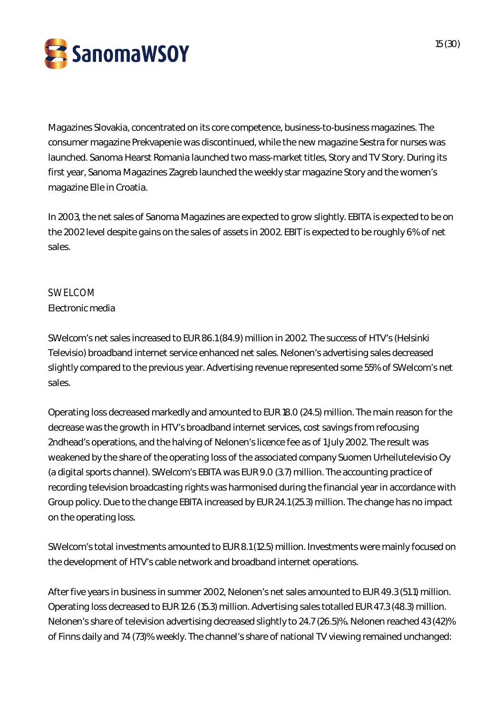

Magazines Slovakia, concentrated on its core competence, business-to-business magazines. The consumer magazine Prekvapenie was discontinued, while the new magazine Sestra for nurses was launched. Sanoma Hearst Romania launched two mass-market titles, Story and TV Story. During its first year, Sanoma Magazines Zagreb launched the weekly star magazine Story and the women's magazine Elle in Croatia.

In 2003, the net sales of Sanoma Magazines are expected to grow slightly. EBITA is expected to be on the 2002 level despite gains on the sales of assets in 2002. EBIT is expected to be roughly 6% of net sales.

### SWELCOM

### Electronic media

SWelcom's net sales increased to EUR 86.1 (84.9) million in 2002. The success of HTV's (Helsinki Televisio) broadband internet service enhanced net sales. Nelonen's advertising sales decreased slightly compared to the previous year. Advertising revenue represented some 55% of SWelcom's net sales.

Operating loss decreased markedly and amounted to EUR 18.0 (24.5) million. The main reason for the decrease was the growth in HTV's broadband internet services, cost savings from refocusing 2ndhead's operations, and the halving of Nelonen's licence fee as of 1 July 2002. The result was weakened by the share of the operating loss of the associated company Suomen Urheilutelevisio Oy (a digital sports channel). SWelcom's EBITA was EUR 9.0 (3.7) million. The accounting practice of recording television broadcasting rights was harmonised during the financial year in accordance with Group policy. Due to the change EBITA increased by EUR 24.1 (25.3) million. The change has no impact on the operating loss.

SWelcom's total investments amounted to EUR 8.1 (12.5) million. Investments were mainly focused on the development of HTV's cable network and broadband internet operations.

After five years in business in summer 2002, Nelonen's net sales amounted to EUR 49.3 (51.1) million. Operating loss decreased to EUR 12.6 (15.3) million. Advertising sales totalled EUR 47.3 (48.3) million. Nelonen's share of television advertising decreased slightly to 24.7 (26.5)%. Nelonen reached 43 (42)% of Finns daily and 74 (73)% weekly. The channel's share of national TV viewing remained unchanged: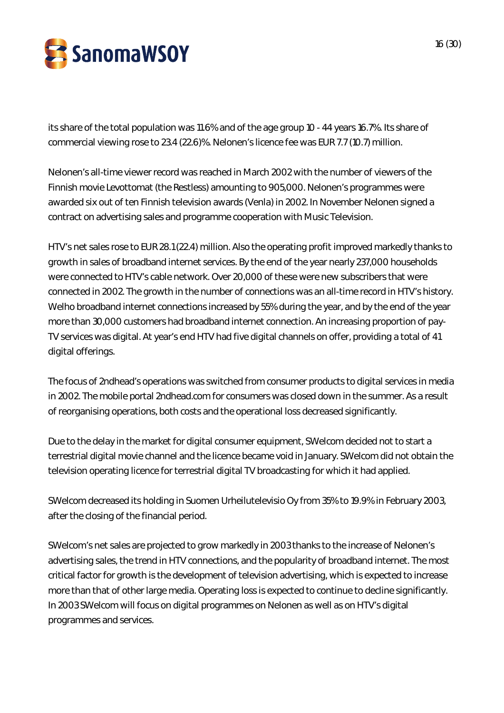

its share of the total population was 11.6% and of the age group 10 - 44 years 16.7%. Its share of commercial viewing rose to 23.4 (22.6)%. Nelonen's licence fee was EUR 7.7 (10.7) million.

Nelonen's all-time viewer record was reached in March 2002 with the number of viewers of the Finnish movie Levottomat (the Restless) amounting to 905,000. Nelonen's programmes were awarded six out of ten Finnish television awards (Venla) in 2002. In November Nelonen signed a contract on advertising sales and programme cooperation with Music Television.

HTV's net sales rose to EUR 28.1 (22.4) million. Also the operating profit improved markedly thanks to growth in sales of broadband internet services. By the end of the year nearly 237,000 households were connected to HTV's cable network. Over 20,000 of these were new subscribers that were connected in 2002. The growth in the number of connections was an all-time record in HTV's history. Welho broadband internet connections increased by 55% during the year, and by the end of the year more than 30,000 customers had broadband internet connection. An increasing proportion of pay-TV services was digital. At year's end HTV had five digital channels on offer, providing a total of 41 digital offerings.

The focus of 2ndhead's operations was switched from consumer products to digital services in media in 2002. The mobile portal 2ndhead.com for consumers was closed down in the summer. As a result of reorganising operations, both costs and the operational loss decreased significantly.

Due to the delay in the market for digital consumer equipment, SWelcom decided not to start a terrestrial digital movie channel and the licence became void in January. SWelcom did not obtain the television operating licence for terrestrial digital TV broadcasting for which it had applied.

SWelcom decreased its holding in Suomen Urheilutelevisio Oy from 35% to 19.9% in February 2003, after the closing of the financial period.

SWelcom's net sales are projected to grow markedly in 2003 thanks to the increase of Nelonen's advertising sales, the trend in HTV connections, and the popularity of broadband internet. The most critical factor for growth is the development of television advertising, which is expected to increase more than that of other large media. Operating loss is expected to continue to decline significantly. In 2003 SWelcom will focus on digital programmes on Nelonen as well as on HTV's digital programmes and services.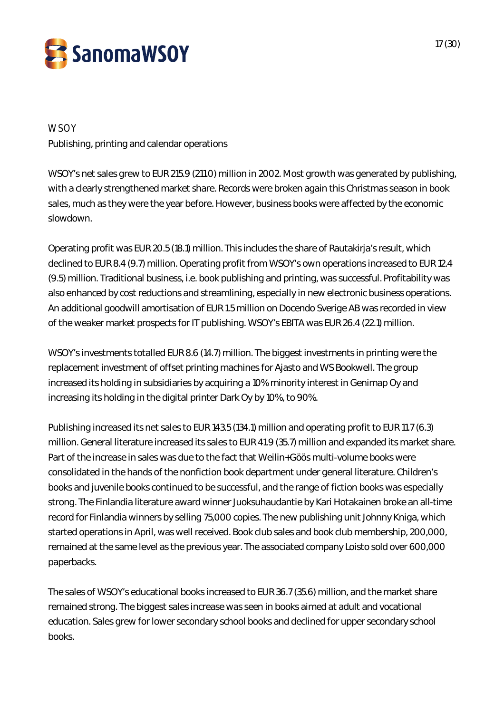

### **WSOY**

Publishing, printing and calendar operations

WSOY's net sales grew to EUR 215.9 (211.0) million in 2002. Most growth was generated by publishing, with a clearly strengthened market share. Records were broken again this Christmas season in book sales, much as they were the year before. However, business books were affected by the economic slowdown.

Operating profit was EUR 20.5 (18.1) million. This includes the share of Rautakirja's result, which declined to EUR 8.4 (9.7) million. Operating profit from WSOY's own operations increased to EUR 12.4 (9.5) million. Traditional business, i.e. book publishing and printing, was successful. Profitability was also enhanced by cost reductions and streamlining, especially in new electronic business operations. An additional goodwill amortisation of EUR 1.5 million on Docendo Sverige AB was recorded in view of the weaker market prospects for IT publishing. WSOY's EBITA was EUR 26.4 (22.1) million.

WSOY's investments totalled EUR 8.6 (14.7) million. The biggest investments in printing were the replacement investment of offset printing machines for Ajasto and WS Bookwell. The group increased its holding in subsidiaries by acquiring a 10% minority interest in Genimap Oy and increasing its holding in the digital printer Dark Oy by 10%, to 90%.

Publishing increased its net sales to EUR 143.5 (134.1) million and operating profit to EUR 11.7 (6.3) million. General literature increased its sales to EUR 41.9 (35.7) million and expanded its market share. Part of the increase in sales was due to the fact that Weilin+Göös multi-volume books were consolidated in the hands of the nonfiction book department under general literature. Children's books and juvenile books continued to be successful, and the range of fiction books was especially strong. The Finlandia literature award winner Juoksuhaudantie by Kari Hotakainen broke an all-time record for Finlandia winners by selling 75,000 copies. The new publishing unit Johnny Kniga, which started operations in April, was well received. Book club sales and book club membership, 200,000, remained at the same level as the previous year. The associated company Loisto sold over 600,000 paperbacks.

The sales of WSOY's educational books increased to EUR 36.7 (35.6) million, and the market share remained strong. The biggest sales increase was seen in books aimed at adult and vocational education. Sales grew for lower secondary school books and declined for upper secondary school books.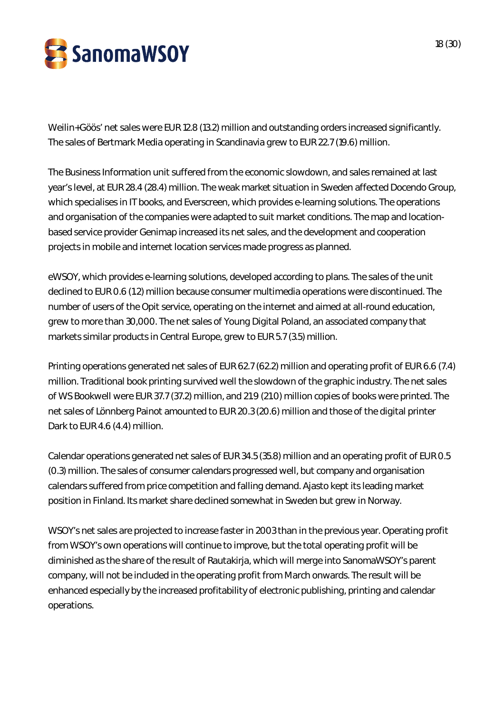

Weilin+Göös' net sales were EUR 12.8 (13.2) million and outstanding orders increased significantly. The sales of Bertmark Media operating in Scandinavia grew to EUR 22.7 (19.6) million.

The Business Information unit suffered from the economic slowdown, and sales remained at last year's level, at EUR 28.4 (28.4) million. The weak market situation in Sweden affected Docendo Group, which specialises in IT books, and Everscreen, which provides e-learning solutions. The operations and organisation of the companies were adapted to suit market conditions. The map and locationbased service provider Genimap increased its net sales, and the development and cooperation projects in mobile and internet location services made progress as planned.

eWSOY, which provides e-learning solutions, developed according to plans. The sales of the unit declined to EUR 0.6 (1.2) million because consumer multimedia operations were discontinued. The number of users of the Opit service, operating on the internet and aimed at all-round education, grew to more than 30,000. The net sales of Young Digital Poland, an associated company that markets similar products in Central Europe, grew to EUR 5.7 (3.5) million.

Printing operations generated net sales of EUR 62.7 (62.2) million and operating profit of EUR 6.6 (7.4) million. Traditional book printing survived well the slowdown of the graphic industry. The net sales of WS Bookwell were EUR 37.7 (37.2) million, and 21.9 (21.0) million copies of books were printed. The net sales of Lönnberg Painot amounted to EUR 20.3 (20.6) million and those of the digital printer Dark to EUR 4.6 (4.4) million.

Calendar operations generated net sales of EUR 34.5 (35.8) million and an operating profit of EUR 0.5 (0.3) million. The sales of consumer calendars progressed well, but company and organisation calendars suffered from price competition and falling demand. Ajasto kept its leading market position in Finland. Its market share declined somewhat in Sweden but grew in Norway.

WSOY's net sales are projected to increase faster in 2003 than in the previous year. Operating profit from WSOY's own operations will continue to improve, but the total operating profit will be diminished as the share of the result of Rautakirja, which will merge into SanomaWSOY's parent company, will not be included in the operating profit from March onwards. The result will be enhanced especially by the increased profitability of electronic publishing, printing and calendar operations.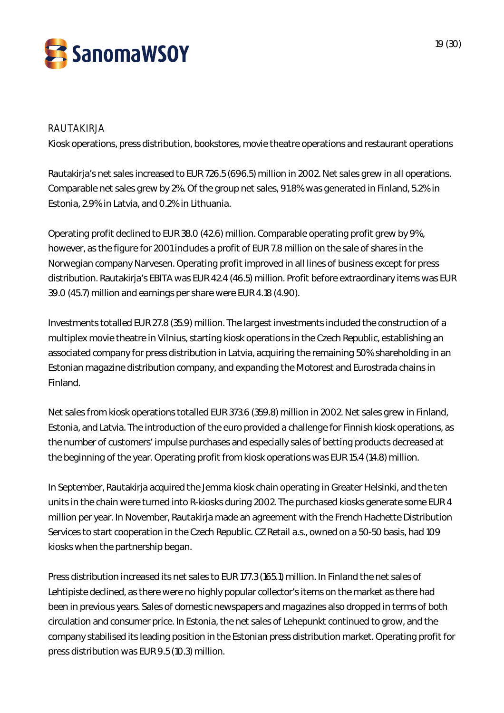

### RAUTAKIRJA

Kiosk operations, press distribution, bookstores, movie theatre operations and restaurant operations

Rautakirja's net sales increased to EUR 726.5 (696.5) million in 2002. Net sales grew in all operations. Comparable net sales grew by 2%. Of the group net sales, 91.8% was generated in Finland, 5.2% in Estonia, 2.9% in Latvia, and 0.2% in Lithuania.

Operating profit declined to EUR 38.0 (42.6) million. Comparable operating profit grew by 9%, however, as the figure for 2001 includes a profit of EUR 7.8 million on the sale of shares in the Norwegian company Narvesen. Operating profit improved in all lines of business except for press distribution. Rautakirja's EBITA was EUR 42.4 (46.5) million. Profit before extraordinary items was EUR 39.0 (45.7) million and earnings per share were EUR 4.18 (4.90).

Investments totalled EUR 27.8 (35.9) million. The largest investments included the construction of a multiplex movie theatre in Vilnius, starting kiosk operations in the Czech Republic, establishing an associated company for press distribution in Latvia, acquiring the remaining 50% shareholding in an Estonian magazine distribution company, and expanding the Motorest and Eurostrada chains in Finland.

Net sales from kiosk operations totalled EUR 373.6 (359.8) million in 2002. Net sales grew in Finland, Estonia, and Latvia. The introduction of the euro provided a challenge for Finnish kiosk operations, as the number of customers' impulse purchases and especially sales of betting products decreased at the beginning of the year. Operating profit from kiosk operations was EUR 15.4 (14.8) million.

In September, Rautakirja acquired the Jemma kiosk chain operating in Greater Helsinki, and the ten units in the chain were turned into R-kiosks during 2002. The purchased kiosks generate some EUR 4 million per year. In November, Rautakirja made an agreement with the French Hachette Distribution Services to start cooperation in the Czech Republic. CZ Retail a.s., owned on a 50-50 basis, had 109 kiosks when the partnership began.

Press distribution increased its net sales to EUR 177.3 (165.1) million. In Finland the net sales of Lehtipiste declined, as there were no highly popular collector's items on the market as there had been in previous years. Sales of domestic newspapers and magazines also dropped in terms of both circulation and consumer price. In Estonia, the net sales of Lehepunkt continued to grow, and the company stabilised its leading position in the Estonian press distribution market. Operating profit for press distribution was EUR 9.5 (10.3) million.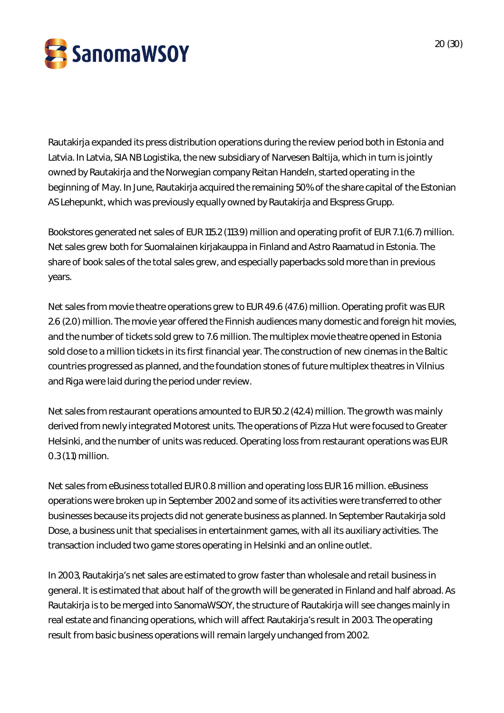

Rautakirja expanded its press distribution operations during the review period both in Estonia and Latvia. In Latvia, SIA NB Logistika, the new subsidiary of Narvesen Baltija, which in turn is jointly owned by Rautakirja and the Norwegian company Reitan Handeln, started operating in the beginning of May. In June, Rautakirja acquired the remaining 50% of the share capital of the Estonian AS Lehepunkt, which was previously equally owned by Rautakirja and Ekspress Grupp.

Bookstores generated net sales of EUR 115.2 (113.9) million and operating profit of EUR 7.1 (6.7) million. Net sales grew both for Suomalainen kirjakauppa in Finland and Astro Raamatud in Estonia. The share of book sales of the total sales grew, and especially paperbacks sold more than in previous years.

Net sales from movie theatre operations grew to EUR 49.6 (47.6) million. Operating profit was EUR 2.6 (2.0) million. The movie year offered the Finnish audiences many domestic and foreign hit movies, and the number of tickets sold grew to 7.6 million. The multiplex movie theatre opened in Estonia sold close to a million tickets in its first financial year. The construction of new cinemas in the Baltic countries progressed as planned, and the foundation stones of future multiplex theatres in Vilnius and Riga were laid during the period under review.

Net sales from restaurant operations amounted to EUR 50.2 (42.4) million. The growth was mainly derived from newly integrated Motorest units. The operations of Pizza Hut were focused to Greater Helsinki, and the number of units was reduced. Operating loss from restaurant operations was EUR 0.3 (1.1) million.

Net sales from eBusiness totalled EUR 0.8 million and operating loss EUR 1.6 million. eBusiness operations were broken up in September 2002 and some of its activities were transferred to other businesses because its projects did not generate business as planned. In September Rautakirja sold Dose, a business unit that specialises in entertainment games, with all its auxiliary activities. The transaction included two game stores operating in Helsinki and an online outlet.

In 2003, Rautakirja's net sales are estimated to grow faster than wholesale and retail business in general. It is estimated that about half of the growth will be generated in Finland and half abroad. As Rautakirja is to be merged into SanomaWSOY, the structure of Rautakirja will see changes mainly in real estate and financing operations, which will affect Rautakirja's result in 2003. The operating result from basic business operations will remain largely unchanged from 2002.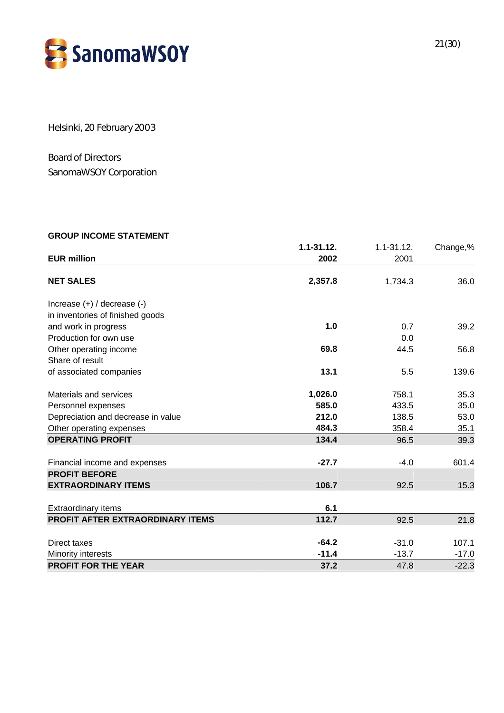

Helsinki, 20 February 2003

Board of Directors SanomaWSOY Corporation

#### **GROUP INCOME STATEMENT**

| <b>EUR million</b>                 | $1.1 - 31.12.$<br>2002 | $1.1 - 31.12.$<br>2001 | Change,% |
|------------------------------------|------------------------|------------------------|----------|
|                                    |                        |                        |          |
| <b>NET SALES</b>                   | 2,357.8                | 1,734.3                | 36.0     |
| Increase $(+)$ / decrease $(-)$    |                        |                        |          |
| in inventories of finished goods   |                        |                        |          |
| and work in progress               | 1.0                    | 0.7                    | 39.2     |
| Production for own use             |                        | 0.0                    |          |
| Other operating income             | 69.8                   | 44.5                   | 56.8     |
| Share of result                    |                        |                        |          |
| of associated companies            | 13.1                   | 5.5                    | 139.6    |
| Materials and services             | 1,026.0                | 758.1                  | 35.3     |
| Personnel expenses                 | 585.0                  | 433.5                  | 35.0     |
| Depreciation and decrease in value | 212.0                  | 138.5                  | 53.0     |
| Other operating expenses           | 484.3                  | 358.4                  | 35.1     |
| <b>OPERATING PROFIT</b>            | 134.4                  | 96.5                   | 39.3     |
| Financial income and expenses      | $-27.7$                | $-4.0$                 | 601.4    |
| <b>PROFIT BEFORE</b>               |                        |                        |          |
| <b>EXTRAORDINARY ITEMS</b>         | 106.7                  | 92.5                   | 15.3     |
|                                    | 6.1                    |                        |          |
| <b>Extraordinary items</b>         |                        |                        |          |
| PROFIT AFTER EXTRAORDINARY ITEMS   | 112.7                  | 92.5                   | 21.8     |
| Direct taxes                       | $-64.2$                | $-31.0$                | 107.1    |
| Minority interests                 | $-11.4$                | $-13.7$                | $-17.0$  |
| <b>PROFIT FOR THE YEAR</b>         | 37.2                   | 47.8                   | $-22.3$  |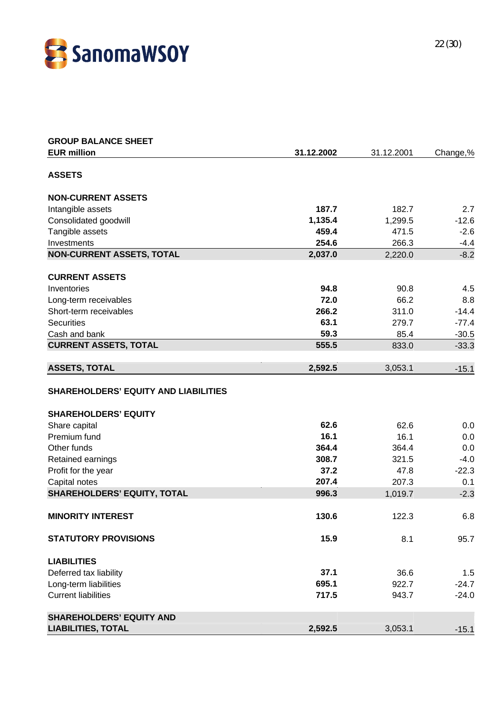

| <b>GROUP BALANCE SHEET</b>                  |            |            |          |
|---------------------------------------------|------------|------------|----------|
| <b>EUR million</b>                          | 31.12.2002 | 31.12.2001 | Change,% |
| <b>ASSETS</b>                               |            |            |          |
|                                             |            |            |          |
| <b>NON-CURRENT ASSETS</b>                   |            |            |          |
| Intangible assets                           | 187.7      | 182.7      | 2.7      |
| Consolidated goodwill                       | 1,135.4    | 1,299.5    | $-12.6$  |
| Tangible assets                             | 459.4      | 471.5      | $-2.6$   |
| Investments                                 | 254.6      | 266.3      | $-4.4$   |
| <b>NON-CURRENT ASSETS, TOTAL</b>            | 2,037.0    | 2,220.0    | $-8.2$   |
| <b>CURRENT ASSETS</b>                       |            |            |          |
| Inventories                                 | 94.8       | 90.8       | 4.5      |
| Long-term receivables                       | 72.0       | 66.2       | 8.8      |
| Short-term receivables                      | 266.2      | 311.0      | $-14.4$  |
| <b>Securities</b>                           | 63.1       | 279.7      | $-77.4$  |
| Cash and bank                               | 59.3       | 85.4       | $-30.5$  |
| <b>CURRENT ASSETS, TOTAL</b>                | 555.5      | 833.0      | $-33.3$  |
| <b>ASSETS, TOTAL</b>                        | 2,592.5    | 3,053.1    | $-15.1$  |
| <b>SHAREHOLDERS' EQUITY AND LIABILITIES</b> |            |            |          |
| <b>SHAREHOLDERS' EQUITY</b>                 |            |            |          |
| Share capital                               | 62.6       | 62.6       | 0.0      |
| Premium fund                                | 16.1       | 16.1       | 0.0      |
| Other funds                                 | 364.4      | 364.4      | 0.0      |
| Retained earnings                           | 308.7      | 321.5      | $-4.0$   |
| Profit for the year                         | 37.2       | 47.8       | $-22.3$  |
| Capital notes                               | 207.4      | 207.3      | 0.1      |
| <b>SHAREHOLDERS' EQUITY, TOTAL</b>          | 996.3      | 1,019.7    | $-2.3$   |
| <b>MINORITY INTEREST</b>                    | 130.6      | 122.3      | 6.8      |
| <b>STATUTORY PROVISIONS</b>                 | 15.9       | 8.1        | 95.7     |
|                                             |            |            |          |
| <b>LIABILITIES</b>                          |            |            |          |
| Deferred tax liability                      | 37.1       | 36.6       | 1.5      |
| Long-term liabilities                       | 695.1      | 922.7      | $-24.7$  |
| <b>Current liabilities</b>                  | 717.5      | 943.7      | $-24.0$  |
| <b>SHAREHOLDERS' EQUITY AND</b>             |            |            |          |
| <b>LIABILITIES, TOTAL</b>                   | 2,592.5    | 3,053.1    | $-15.1$  |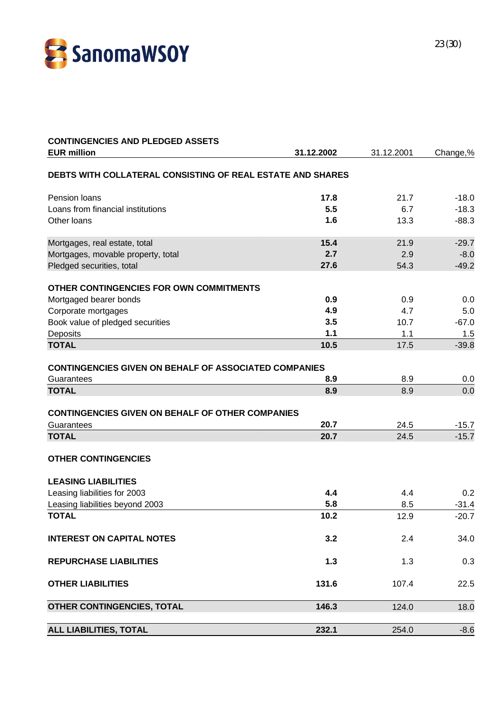

| <b>CONTINGENCIES AND PLEDGED ASSETS</b>                      |              |            |          |
|--------------------------------------------------------------|--------------|------------|----------|
| <b>EUR million</b>                                           | 31.12.2002   | 31.12.2001 | Change,% |
| DEBTS WITH COLLATERAL CONSISTING OF REAL ESTATE AND SHARES   |              |            |          |
| Pension loans                                                | 17.8         | 21.7       | $-18.0$  |
| Loans from financial institutions                            | 5.5          | 6.7        | $-18.3$  |
| Other loans                                                  | 1.6          | 13.3       | $-88.3$  |
| Mortgages, real estate, total                                | 15.4         | 21.9       | $-29.7$  |
| Mortgages, movable property, total                           | 2.7          | 2.9        | $-8.0$   |
| Pledged securities, total                                    | 27.6         | 54.3       | $-49.2$  |
| OTHER CONTINGENCIES FOR OWN COMMITMENTS                      |              |            |          |
| Mortgaged bearer bonds                                       | 0.9          | 0.9        | 0.0      |
| Corporate mortgages                                          | 4.9          | 4.7        | 5.0      |
| Book value of pledged securities                             | 3.5          | 10.7       | $-67.0$  |
| Deposits                                                     | 1.1          | 1.1        | 1.5      |
| <b>TOTAL</b>                                                 | 10.5         | 17.5       | $-39.8$  |
| <b>CONTINGENCIES GIVEN ON BEHALF OF ASSOCIATED COMPANIES</b> |              |            |          |
| Guarantees                                                   | 8.9          | 8.9        | 0.0      |
| <b>TOTAL</b>                                                 | 8.9          | 8.9        | 0.0      |
|                                                              |              |            |          |
| <b>CONTINGENCIES GIVEN ON BEHALF OF OTHER COMPANIES</b>      |              |            |          |
| Guarantees<br><b>TOTAL</b>                                   | 20.7<br>20.7 | 24.5       | $-15.7$  |
|                                                              |              | 24.5       | $-15.7$  |
| <b>OTHER CONTINGENCIES</b>                                   |              |            |          |
| <b>LEASING LIABILITIES</b>                                   |              |            |          |
| Leasing liabilities for 2003                                 | 4.4          | 4.4        | 0.2      |
| Leasing liabilities beyond 2003                              | 5.8          | 8.5        | $-31.4$  |
| <b>TOTAL</b>                                                 | 10.2         | 12.9       | $-20.7$  |
| <b>INTEREST ON CAPITAL NOTES</b>                             | 3.2          | 2.4        | 34.0     |
| <b>REPURCHASE LIABILITIES</b>                                | $1.3$        | 1.3        | 0.3      |
| <b>OTHER LIABILITIES</b>                                     | 131.6        | 107.4      | 22.5     |
| OTHER CONTINGENCIES, TOTAL                                   | 146.3        | 124.0      | 18.0     |
| <b>ALL LIABILITIES, TOTAL</b>                                | 232.1        | 254.0      | $-8.6$   |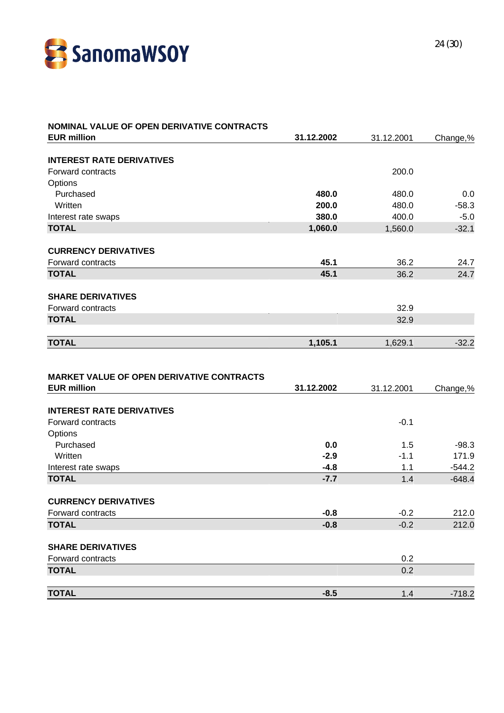

| NOMINAL VALUE OF OPEN DERIVATIVE CONTRACTS                             |            |            |          |
|------------------------------------------------------------------------|------------|------------|----------|
| <b>EUR million</b>                                                     | 31.12.2002 | 31.12.2001 | Change,% |
| <b>INTEREST RATE DERIVATIVES</b>                                       |            |            |          |
| Forward contracts                                                      |            | 200.0      |          |
|                                                                        |            |            |          |
| Options<br>Purchased                                                   | 480.0      | 480.0      | 0.0      |
| Written                                                                | 200.0      | 480.0      | $-58.3$  |
|                                                                        | 380.0      | 400.0      | $-5.0$   |
| Interest rate swaps<br><b>TOTAL</b>                                    | 1,060.0    | 1,560.0    | $-32.1$  |
|                                                                        |            |            |          |
| <b>CURRENCY DERIVATIVES</b>                                            |            |            |          |
| Forward contracts                                                      | 45.1       | 36.2       | 24.7     |
| <b>TOTAL</b>                                                           | 45.1       | 36.2       | 24.7     |
|                                                                        |            |            |          |
| <b>SHARE DERIVATIVES</b><br>Forward contracts                          |            | 32.9       |          |
| <b>TOTAL</b>                                                           |            | 32.9       |          |
|                                                                        |            |            |          |
| <b>TOTAL</b>                                                           | 1,105.1    | 1,629.1    | $-32.2$  |
| <b>MARKET VALUE OF OPEN DERIVATIVE CONTRACTS</b><br><b>EUR million</b> | 31.12.2002 | 31.12.2001 | Change,% |
|                                                                        |            |            |          |
| <b>INTEREST RATE DERIVATIVES</b>                                       |            |            |          |
| Forward contracts                                                      |            | $-0.1$     |          |
| Options                                                                |            |            |          |
| Purchased                                                              | 0.0        | 1.5        | $-98.3$  |
| Written                                                                | $-2.9$     | $-1.1$     | 171.9    |
| Interest rate swaps                                                    | $-4.8$     | 1.1        | $-544.2$ |
| <b>TOTAL</b>                                                           | $-7.7$     | 1.4        | $-648.4$ |
| <b>CURRENCY DERIVATIVES</b>                                            |            |            |          |
| Forward contracts                                                      | $-0.8$     | $-0.2$     | 212.0    |
| <b>TOTAL</b>                                                           | $-0.8$     | $-0.2$     | 212.0    |
|                                                                        |            |            |          |
| <b>SHARE DERIVATIVES</b>                                               |            |            |          |
| Forward contracts                                                      |            | 0.2        |          |
| <b>TOTAL</b>                                                           |            | 0.2        |          |
| <b>TOTAL</b>                                                           | $-8.5$     | 1.4        | $-718.2$ |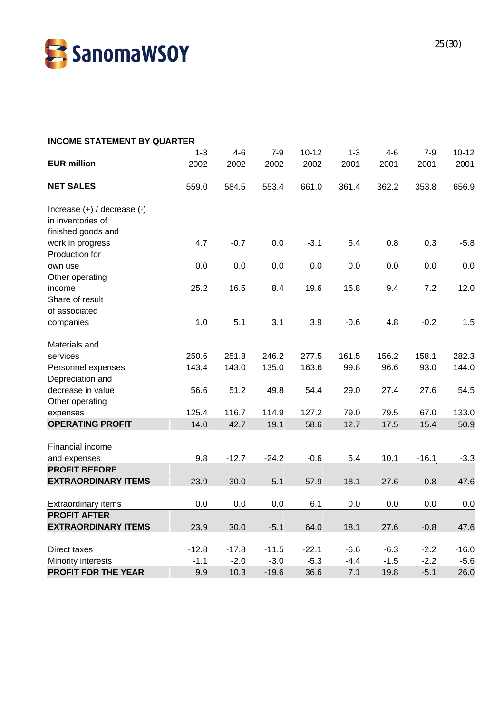

| <b>INCOME STATEMENT BY QUARTER</b>     |         |         |         |           |         |        |         |           |
|----------------------------------------|---------|---------|---------|-----------|---------|--------|---------|-----------|
|                                        | $1 - 3$ | $4 - 6$ | $7 - 9$ | $10 - 12$ | $1 - 3$ | $4-6$  | $7 - 9$ | $10 - 12$ |
| <b>EUR million</b>                     | 2002    | 2002    | 2002    | 2002      | 2001    | 2001   | 2001    | 2001      |
|                                        |         |         |         |           |         |        |         |           |
| <b>NET SALES</b>                       | 559.0   | 584.5   | 553.4   | 661.0     | 361.4   | 362.2  | 353.8   | 656.9     |
|                                        |         |         |         |           |         |        |         |           |
| Increase $(+)$ / decrease $(-)$        |         |         |         |           |         |        |         |           |
| in inventories of                      |         |         |         |           |         |        |         |           |
| finished goods and                     |         |         |         |           |         |        |         |           |
| work in progress                       | 4.7     | $-0.7$  | 0.0     | $-3.1$    | 5.4     | 0.8    | 0.3     | $-5.8$    |
| Production for                         |         |         |         |           |         |        |         |           |
| own use                                | 0.0     | 0.0     | 0.0     | 0.0       | 0.0     | 0.0    | 0.0     | 0.0       |
| Other operating                        |         |         |         |           |         |        |         |           |
| income                                 | 25.2    | 16.5    | 8.4     | 19.6      | 15.8    | 9.4    | 7.2     | 12.0      |
| Share of result                        |         |         |         |           |         |        |         |           |
| of associated                          |         |         |         |           |         |        |         |           |
| companies                              | 1.0     | 5.1     | 3.1     | 3.9       | $-0.6$  | 4.8    | $-0.2$  | 1.5       |
| Materials and                          |         |         |         |           |         |        |         |           |
| services                               | 250.6   | 251.8   | 246.2   | 277.5     | 161.5   | 156.2  | 158.1   | 282.3     |
|                                        | 143.4   | 143.0   | 135.0   | 163.6     | 99.8    | 96.6   | 93.0    | 144.0     |
| Personnel expenses<br>Depreciation and |         |         |         |           |         |        |         |           |
| decrease in value                      | 56.6    |         | 49.8    | 54.4      | 29.0    | 27.4   | 27.6    |           |
|                                        |         | 51.2    |         |           |         |        |         | 54.5      |
| Other operating                        |         |         |         |           |         |        |         |           |
| expenses                               | 125.4   | 116.7   | 114.9   | 127.2     | 79.0    | 79.5   | 67.0    | 133.0     |
| <b>OPERATING PROFIT</b>                | 14.0    | 42.7    | 19.1    | 58.6      | 12.7    | 17.5   | 15.4    | 50.9      |
| Financial income                       |         |         |         |           |         |        |         |           |
| and expenses                           | 9.8     | $-12.7$ | $-24.2$ | $-0.6$    | 5.4     | 10.1   | $-16.1$ | $-3.3$    |
| <b>PROFIT BEFORE</b>                   |         |         |         |           |         |        |         |           |
| <b>EXTRAORDINARY ITEMS</b>             | 23.9    | 30.0    | $-5.1$  | 57.9      | 18.1    | 27.6   | $-0.8$  | 47.6      |
| <b>Extraordinary items</b>             | 0.0     | 0.0     | 0.0     | 6.1       | 0.0     | 0.0    | 0.0     | 0.0       |
| <b>PROFIT AFTER</b>                    |         |         |         |           |         |        |         |           |
|                                        |         |         |         |           |         |        |         |           |
| <b>EXTRAORDINARY ITEMS</b>             | 23.9    | 30.0    | $-5.1$  | 64.0      | 18.1    | 27.6   | $-0.8$  | 47.6      |
| Direct taxes                           | $-12.8$ | $-17.8$ | $-11.5$ | $-22.1$   | $-6.6$  | $-6.3$ | $-2.2$  | $-16.0$   |
| Minority interests                     | $-1.1$  | $-2.0$  | $-3.0$  | $-5.3$    | $-4.4$  | $-1.5$ | $-2.2$  | $-5.6$    |
| PROFIT FOR THE YEAR                    | 9.9     | 10.3    | $-19.6$ | 36.6      | 7.1     | 19.8   | $-5.1$  | 26.0      |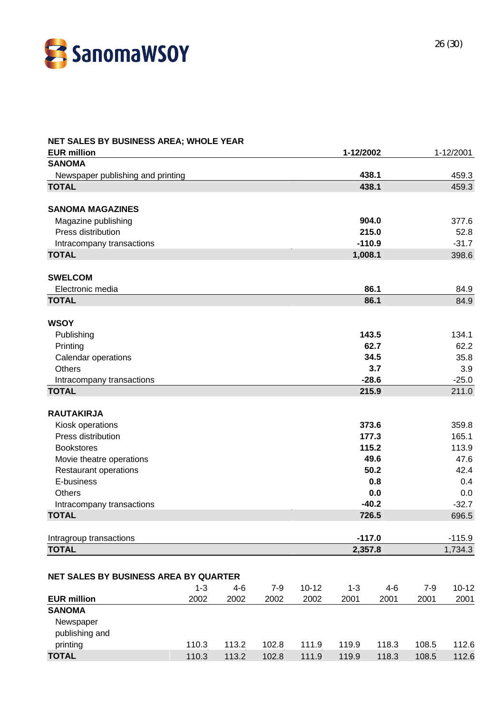

| NET SALES BY BUSINESS AREA; WHOLE YEAR |         |         |         |           |           |          |         |           |
|----------------------------------------|---------|---------|---------|-----------|-----------|----------|---------|-----------|
| <b>EUR million</b>                     |         |         |         |           | 1-12/2002 |          |         | 1-12/2001 |
| <b>SANOMA</b>                          |         |         |         |           |           |          |         |           |
| Newspaper publishing and printing      |         |         |         |           |           | 438.1    |         | 459.3     |
| <b>TOTAL</b>                           |         |         |         |           |           | 438.1    |         | 459.3     |
|                                        |         |         |         |           |           |          |         |           |
| <b>SANOMA MAGAZINES</b>                |         |         |         |           |           |          |         |           |
| Magazine publishing                    |         |         |         |           |           | 904.0    |         | 377.6     |
| Press distribution                     |         |         |         |           |           | 215.0    |         | 52.8      |
| Intracompany transactions              |         |         |         |           |           | $-110.9$ |         | $-31.7$   |
| <b>TOTAL</b>                           |         |         |         |           | 1,008.1   |          |         | 398.6     |
|                                        |         |         |         |           |           |          |         |           |
| <b>SWELCOM</b>                         |         |         |         |           |           |          |         |           |
| Electronic media                       |         |         |         |           |           | 86.1     |         | 84.9      |
| <b>TOTAL</b>                           |         |         |         |           |           | 86.1     |         | 84.9      |
|                                        |         |         |         |           |           |          |         |           |
| <b>WSOY</b>                            |         |         |         |           |           |          |         |           |
| Publishing                             |         |         |         |           |           | 143.5    |         | 134.1     |
| Printing                               |         |         |         |           |           | 62.7     |         | 62.2      |
| Calendar operations                    |         |         |         |           |           | 34.5     |         | 35.8      |
| <b>Others</b>                          |         |         |         |           |           | 3.7      |         | 3.9       |
| Intracompany transactions              |         |         |         |           |           | $-28.6$  |         | $-25.0$   |
| <b>TOTAL</b>                           |         |         |         |           |           | 215.9    |         | 211.0     |
|                                        |         |         |         |           |           |          |         |           |
| <b>RAUTAKIRJA</b>                      |         |         |         |           |           |          |         |           |
| Kiosk operations                       |         |         |         |           |           | 373.6    |         | 359.8     |
| Press distribution                     |         |         |         |           |           | 177.3    |         | 165.1     |
| <b>Bookstores</b>                      |         |         |         |           |           | 115.2    |         | 113.9     |
| Movie theatre operations               |         |         |         |           |           | 49.6     |         | 47.6      |
| Restaurant operations                  |         |         |         |           |           | 50.2     |         | 42.4      |
| E-business                             |         |         |         |           |           | 0.8      |         | 0.4       |
| <b>Others</b>                          |         |         |         |           |           | 0.0      |         | 0.0       |
| Intracompany transactions              |         |         |         |           |           | $-40.2$  |         | $-32.7$   |
| <b>TOTAL</b>                           |         |         |         |           |           | 726.5    |         | 696.5     |
|                                        |         |         |         |           |           |          |         |           |
| Intragroup transactions                |         |         |         |           |           | $-117.0$ |         | $-115.9$  |
| <b>TOTAL</b>                           |         |         |         |           | 2,357.8   |          |         | 1,734.3   |
|                                        |         |         |         |           |           |          |         |           |
| NET SALES BY BUSINESS AREA BY QUARTER  |         |         |         |           |           |          |         |           |
|                                        | $1 - 3$ | $4 - 6$ | $7 - 9$ | $10 - 12$ | $1 - 3$   | $4 - 6$  | $7 - 9$ | $10 - 12$ |
| <b>EUR million</b>                     | 2002    | 2002    | 2002    | 2002      | 2001      | 2001     | 2001    | 2001      |
| <b>SANOMA</b>                          |         |         |         |           |           |          |         |           |
| Newspaper                              |         |         |         |           |           |          |         |           |
| publishing and                         |         |         |         |           |           |          |         |           |
| printing                               | 110.3   | 113.2   | 102.8   | 111.9     | 119.9     | 118.3    | 108.5   | 112.6     |
| <b>TOTAL</b>                           | 110.3   |         |         |           |           |          |         |           |
|                                        |         | 113.2   | 102.8   | 111.9     | 119.9     | 118.3    | 108.5   | 112.6     |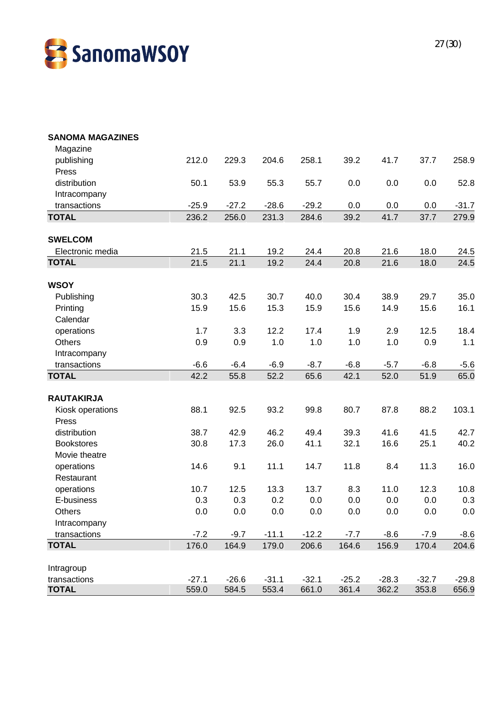

| <b>SANOMA MAGAZINES</b> |         |         |         |         |         |         |         |         |
|-------------------------|---------|---------|---------|---------|---------|---------|---------|---------|
| Magazine                |         |         |         |         |         |         |         |         |
| publishing              | 212.0   | 229.3   | 204.6   | 258.1   | 39.2    | 41.7    | 37.7    | 258.9   |
| Press                   |         |         |         |         |         |         |         |         |
| distribution            | 50.1    | 53.9    | 55.3    | 55.7    | 0.0     | 0.0     | 0.0     | 52.8    |
| Intracompany            |         |         |         |         |         |         |         |         |
| transactions            | $-25.9$ | $-27.2$ | $-28.6$ | $-29.2$ | 0.0     | 0.0     | 0.0     | $-31.7$ |
| <b>TOTAL</b>            | 236.2   | 256.0   | 231.3   | 284.6   | 39.2    | 41.7    | 37.7    | 279.9   |
| <b>SWELCOM</b>          |         |         |         |         |         |         |         |         |
| Electronic media        | 21.5    | 21.1    | 19.2    | 24.4    | 20.8    | 21.6    | 18.0    | 24.5    |
| <b>TOTAL</b>            | 21.5    | 21.1    | 19.2    | 24.4    | 20.8    | 21.6    | 18.0    | 24.5    |
|                         |         |         |         |         |         |         |         |         |
| <b>WSOY</b>             |         |         |         |         |         |         |         |         |
| Publishing              | 30.3    | 42.5    | 30.7    | 40.0    | 30.4    | 38.9    | 29.7    | 35.0    |
| Printing                | 15.9    | 15.6    | 15.3    | 15.9    | 15.6    | 14.9    | 15.6    | 16.1    |
| Calendar                |         |         |         |         |         |         |         |         |
| operations              | 1.7     | 3.3     | 12.2    | 17.4    | 1.9     | 2.9     | 12.5    | 18.4    |
| <b>Others</b>           | 0.9     | 0.9     | 1.0     | 1.0     | 1.0     | 1.0     | 0.9     | 1.1     |
| Intracompany            |         |         |         |         |         |         |         |         |
| transactions            | $-6.6$  | $-6.4$  | $-6.9$  | $-8.7$  | $-6.8$  | $-5.7$  | $-6.8$  | $-5.6$  |
| <b>TOTAL</b>            | 42.2    | 55.8    | 52.2    | 65.6    | 42.1    | 52.0    | 51.9    | 65.0    |
| <b>RAUTAKIRJA</b>       |         |         |         |         |         |         |         |         |
| Kiosk operations        | 88.1    | 92.5    | 93.2    | 99.8    | 80.7    | 87.8    | 88.2    | 103.1   |
| Press                   |         |         |         |         |         |         |         |         |
| distribution            | 38.7    | 42.9    | 46.2    | 49.4    | 39.3    | 41.6    | 41.5    | 42.7    |
| <b>Bookstores</b>       | 30.8    | 17.3    | 26.0    | 41.1    | 32.1    | 16.6    | 25.1    | 40.2    |
| Movie theatre           |         |         |         |         |         |         |         |         |
| operations              | 14.6    | 9.1     | 11.1    | 14.7    | 11.8    | 8.4     | 11.3    | 16.0    |
| Restaurant              |         |         |         |         |         |         |         |         |
| operations              | 10.7    | 12.5    | 13.3    | 13.7    | 8.3     | 11.0    | 12.3    | 10.8    |
| E-business              | 0.3     | 0.3     | 0.2     | 0.0     | 0.0     | 0.0     | 0.0     | 0.3     |
| Others                  | 0.0     | 0.0     | 0.0     | 0.0     | 0.0     | $0.0\,$ | 0.0     | 0.0     |
| Intracompany            |         |         |         |         |         |         |         |         |
| transactions            | $-7.2$  | $-9.7$  | $-11.1$ | $-12.2$ | $-7.7$  | $-8.6$  | $-7.9$  | $-8.6$  |
| <b>TOTAL</b>            | 176.0   | 164.9   | 179.0   | 206.6   | 164.6   | 156.9   | 170.4   | 204.6   |
| Intragroup              |         |         |         |         |         |         |         |         |
| transactions            | $-27.1$ | $-26.6$ | $-31.1$ | $-32.1$ | $-25.2$ | $-28.3$ | $-32.7$ | $-29.8$ |
| <b>TOTAL</b>            | 559.0   | 584.5   | 553.4   | 661.0   | 361.4   | 362.2   | 353.8   | 656.9   |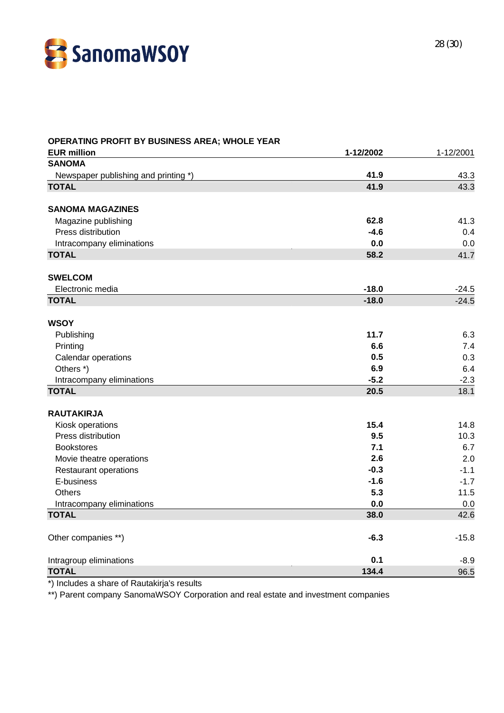

| OPERATING PROFIT BY BUSINESS AREA; WHOLE YEAR |           |           |
|-----------------------------------------------|-----------|-----------|
| <b>EUR million</b>                            | 1-12/2002 | 1-12/2001 |
| <b>SANOMA</b>                                 |           |           |
| Newspaper publishing and printing *)          | 41.9      | 43.3      |
| <b>TOTAL</b>                                  | 41.9      | 43.3      |
| <b>SANOMA MAGAZINES</b>                       |           |           |
| Magazine publishing                           | 62.8      | 41.3      |
| Press distribution                            | $-4.6$    | 0.4       |
| Intracompany eliminations                     | 0.0       | 0.0       |
| <b>TOTAL</b>                                  | 58.2      | 41.7      |
| <b>SWELCOM</b>                                |           |           |
| Electronic media                              | $-18.0$   | $-24.5$   |
| <b>TOTAL</b>                                  | $-18.0$   | $-24.5$   |
| <b>WSOY</b>                                   |           |           |
| Publishing                                    | 11.7      | 6.3       |
| Printing                                      | 6.6       | 7.4       |
| Calendar operations                           | 0.5       | 0.3       |
| Others *)                                     | 6.9       | 6.4       |
| Intracompany eliminations                     | $-5.2$    | $-2.3$    |
| <b>TOTAL</b>                                  | 20.5      | 18.1      |
| <b>RAUTAKIRJA</b>                             |           |           |
| Kiosk operations                              | 15.4      | 14.8      |
| Press distribution                            | 9.5       | 10.3      |
| <b>Bookstores</b>                             | 7.1       | 6.7       |
| Movie theatre operations                      | 2.6       | 2.0       |
| <b>Restaurant operations</b>                  | $-0.3$    | $-1.1$    |
| E-business                                    | $-1.6$    | $-1.7$    |
| Others                                        | 5.3       | 11.5      |
| Intracompany eliminations                     | 0.0       | 0.0       |
| <b>TOTAL</b>                                  | 38.0      | 42.6      |
| Other companies **)                           | $-6.3$    | $-15.8$   |
| Intragroup eliminations                       | 0.1       | $-8.9$    |
| <b>TOTAL</b>                                  | 134.4     | 96.5      |

\*) Includes a share of Rautakirja's results

\*\*) Parent company SanomaWSOY Corporation and real estate and investment companies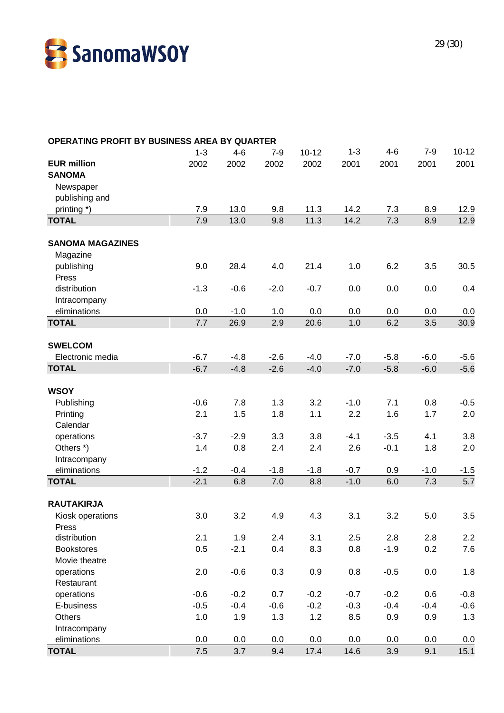

### **OPERATING PROFIT BY BUSINESS AREA BY QUARTER** 1-3 4-6 7-9 10-12 1-3 4-6 7-9 10-12 **EUR million** 2002 2002 2002 2002 2001 2001 2001 2001 **SANOMA Newspaper**  publishing and printing \*) 7.9 13.0 9.8 11.3 14.2 7.3 8.9 12.9 **TOTAL** 7.9 13.0 9.8 11.3 14.2 7.3 8.9 12.9 **SANOMA MAGAZINES** Magazine publishing 9.0 28.4 4.0 21.4 1.0 6.2 3.5 30.5 Press distribution -1.3 -0.6 -2.0 -0.7 0.0 0.0 0.0 0.4 Intracompany eliminations 0.0 -1.0 1.0 0.0 0.0 0.0 0.0 0.0 **TOTAL** 7.7 26.9 2.9 20.6 1.0 6.2 3.5 30.9 **SWELCOM** Electronic media -6.7 -4.8 -2.6 -4.0 -7.0 -5.8 -6.0 -5.6 **TOTAL** -6.7 -4.8 -2.6 -4.0 -7.0 -5.8 -6.0 -5.6 **WSOY** Publishing -0.6 7.8 1.3 3.2 -1.0 7.1 0.8 -0.5 Printing 2.1 1.5 1.8 1.1 2.2 1.6 1.7 2.0 Calendar operations -3.7 -2.9 3.3 3.8 -4.1 -3.5 4.1 3.8 Others \*) 1.4 0.8 2.4 2.4 2.6 -0.1 1.8 2.0 Intracompany eliminations -1.2 -0.4 -1.8 -1.8 -0.7 0.9 -1.0 -1.5 **TOTAL** -2.1 6.8 7.0 8.8 -1.0 6.0 7.3 5.7 **RAUTAKIRJA** Kiosk operations 3.0 3.2 4.9 4.3 3.1 3.2 5.0 3.5 Press distribution 2.1 1.9 2.4 3.1 2.5 2.8 2.8 2.2 Bookstores 0.5 -2.1 0.4 8.3 0.8 -1.9 0.2 7.6 Movie theatre operations 2.0 -0.6 0.3 0.9 0.8 -0.5 0.0 1.8 **Restaurant**  operations -0.6 -0.2 0.7 -0.2 -0.7 -0.2 0.6 -0.8 E-business -0.5 -0.4 -0.6 -0.2 -0.3 -0.4 -0.4 -0.6 Others 1.0 1.9 1.3 1.2 8.5 0.9 0.9 1.3 Intracompany eliminations 0.0 0.0 0.0 0.0 0.0 0.0 0.0 0.0 **TOTAL** 7.5 3.7 9.4 17.4 14.6 3.9 9.1 15.1